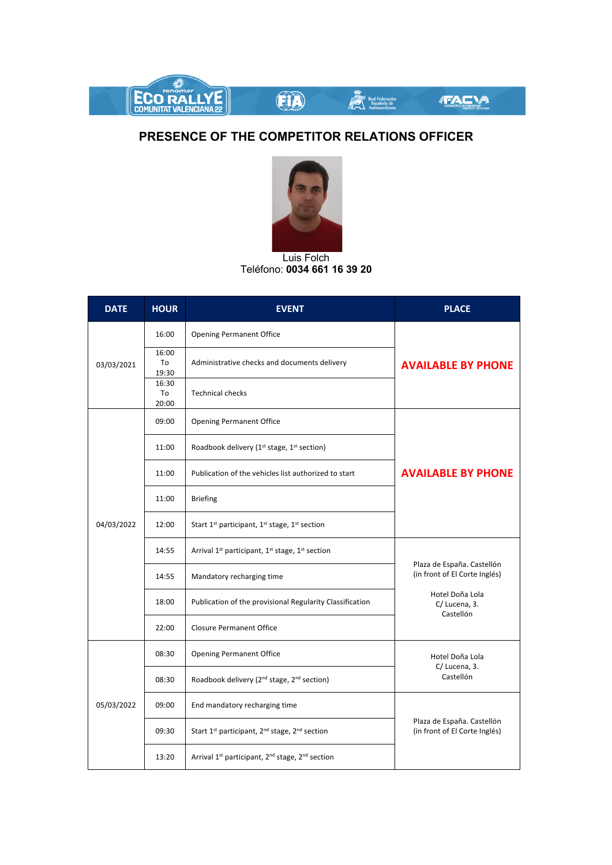

## **PRESENCE OF THE COMPETITOR RELATIONS OFFICER**



Luis Folch Teléfono: **0034 661 16 39 20**

| <b>DATE</b> | <b>HOUR</b>          | <b>EVENT</b>                                                                        | <b>PLACE</b>                                                                                                |
|-------------|----------------------|-------------------------------------------------------------------------------------|-------------------------------------------------------------------------------------------------------------|
| 03/03/2021  | 16:00                | <b>Opening Permanent Office</b>                                                     | <b>AVAILABLE BY PHONE</b>                                                                                   |
|             | 16:00<br>To<br>19:30 | Administrative checks and documents delivery                                        |                                                                                                             |
|             | 16:30<br>To<br>20:00 | <b>Technical checks</b>                                                             |                                                                                                             |
| 04/03/2022  | 09:00                | <b>Opening Permanent Office</b>                                                     | <b>AVAILABLE BY PHONE</b>                                                                                   |
|             | 11:00                | Roadbook delivery (1 <sup>st</sup> stage, 1 <sup>st</sup> section)                  |                                                                                                             |
|             | 11:00                | Publication of the vehicles list authorized to start                                |                                                                                                             |
|             | 11:00                | <b>Briefing</b>                                                                     |                                                                                                             |
|             | 12:00                | Start 1 <sup>st</sup> participant, 1 <sup>st</sup> stage, 1 <sup>st</sup> section   |                                                                                                             |
|             | 14:55                | Arrival 1 <sup>st</sup> participant, 1 <sup>st</sup> stage, 1 <sup>st</sup> section | Plaza de España. Castellón<br>(in front of El Corte Inglés)<br>Hotel Doña Lola<br>C/Lucena, 3.<br>Castellón |
|             | 14:55                | Mandatory recharging time                                                           |                                                                                                             |
|             | 18:00                | Publication of the provisional Regularity Classification                            |                                                                                                             |
|             | 22:00                | <b>Closure Permanent Office</b>                                                     |                                                                                                             |
| 05/03/2022  | 08:30                | <b>Opening Permanent Office</b>                                                     | Hotel Doña Lola<br>C/Lucena, 3.<br>Castellón                                                                |
|             | 08:30                | Roadbook delivery (2 <sup>nd</sup> stage, 2 <sup>nd</sup> section)                  |                                                                                                             |
|             | 09:00                | End mandatory recharging time                                                       | Plaza de España. Castellón<br>(in front of El Corte Inglés)                                                 |
|             | 09:30                | Start 1 <sup>st</sup> participant, 2 <sup>nd</sup> stage, 2 <sup>nd</sup> section   |                                                                                                             |
|             | 13:20                | Arrival 1 <sup>st</sup> participant, 2 <sup>nd</sup> stage, 2 <sup>nd</sup> section |                                                                                                             |